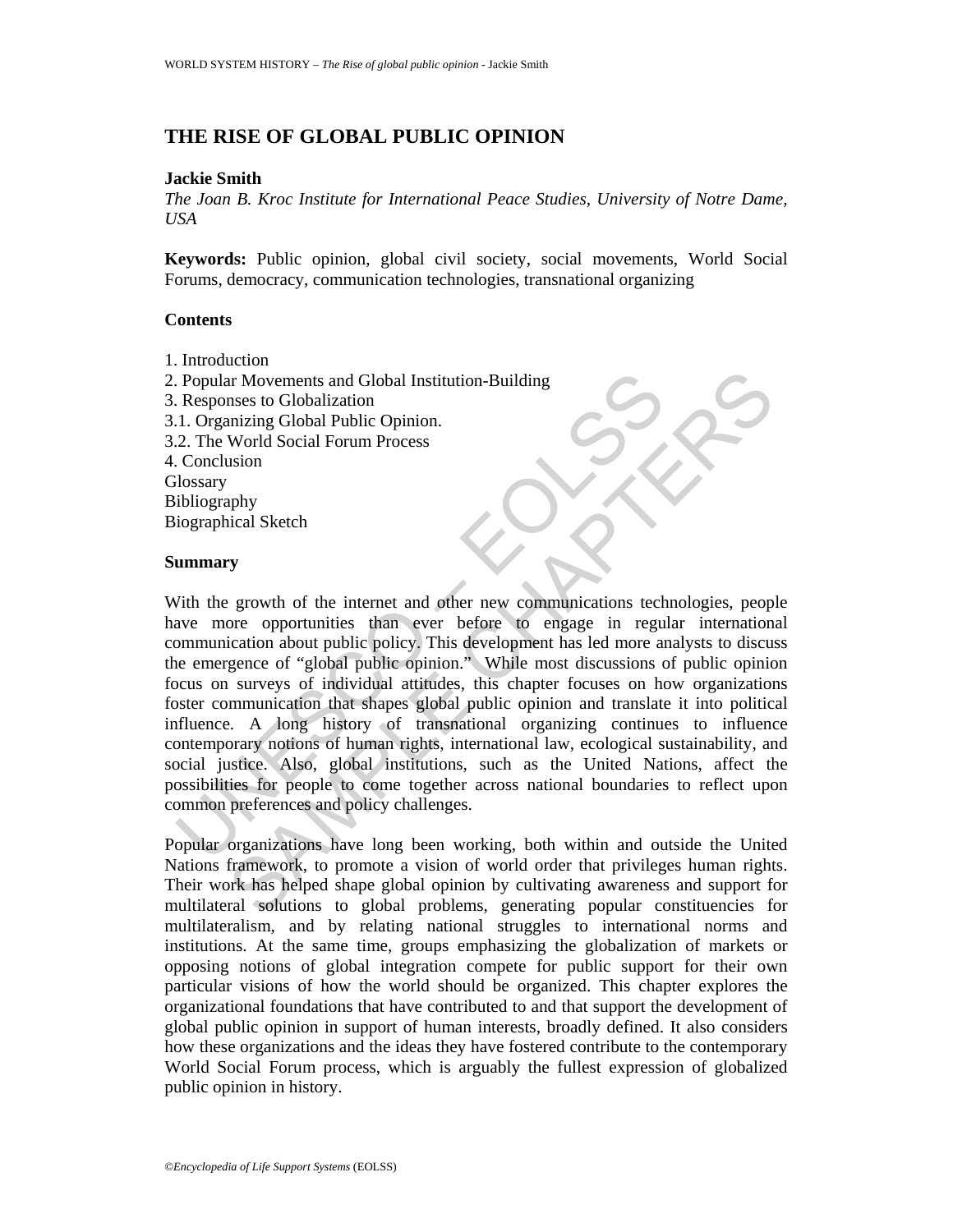## **THE RISE OF GLOBAL PUBLIC OPINION**

#### **Jackie Smith**

*The Joan B. Kroc Institute for International Peace Studies, University of Notre Dame, USA* 

**Keywords:** Public opinion, global civil society, social movements, World Social Forums, democracy, communication technologies, transnational organizing

### **Contents**

1. Introduction 2. Popular Movements and Global Institution-Building 3. Responses to Globalization 3.1. Organizing Global Public Opinion. 3.2. The World Social Forum Process 4. Conclusion **Glossary** Bibliography Biographical Sketch

### **Summary**

Popular Movements and Global Institution-Building<br>
Responses to Globalization<br>
1. Organizing Global Public Opinion.<br>
2. The World Social Forum Process<br>
Conclusion<br>
Ilossary<br>
Uniography<br>
iographical Sketch<br> **ummary**<br>
Vith t SAMPLE CHAPTERS With the growth of the internet and other new communications technologies, people have more opportunities than ever before to engage in regular international communication about public policy. This development has led more analysts to discuss the emergence of "global public opinion." While most discussions of public opinion focus on surveys of individual attitudes, this chapter focuses on how organizations foster communication that shapes global public opinion and translate it into political influence. A long history of transnational organizing continues to influence contemporary notions of human rights, international law, ecological sustainability, and social justice. Also, global institutions, such as the United Nations, affect the possibilities for people to come together across national boundaries to reflect upon common preferences and policy challenges.

Popular organizations have long been working, both within and outside the United Nations framework, to promote a vision of world order that privileges human rights. Their work has helped shape global opinion by cultivating awareness and support for multilateral solutions to global problems, generating popular constituencies for multilateralism, and by relating national struggles to international norms and institutions. At the same time, groups emphasizing the globalization of markets or opposing notions of global integration compete for public support for their own particular visions of how the world should be organized. This chapter explores the organizational foundations that have contributed to and that support the development of global public opinion in support of human interests, broadly defined. It also considers how these organizations and the ideas they have fostered contribute to the contemporary World Social Forum process, which is arguably the fullest expression of globalized public opinion in history.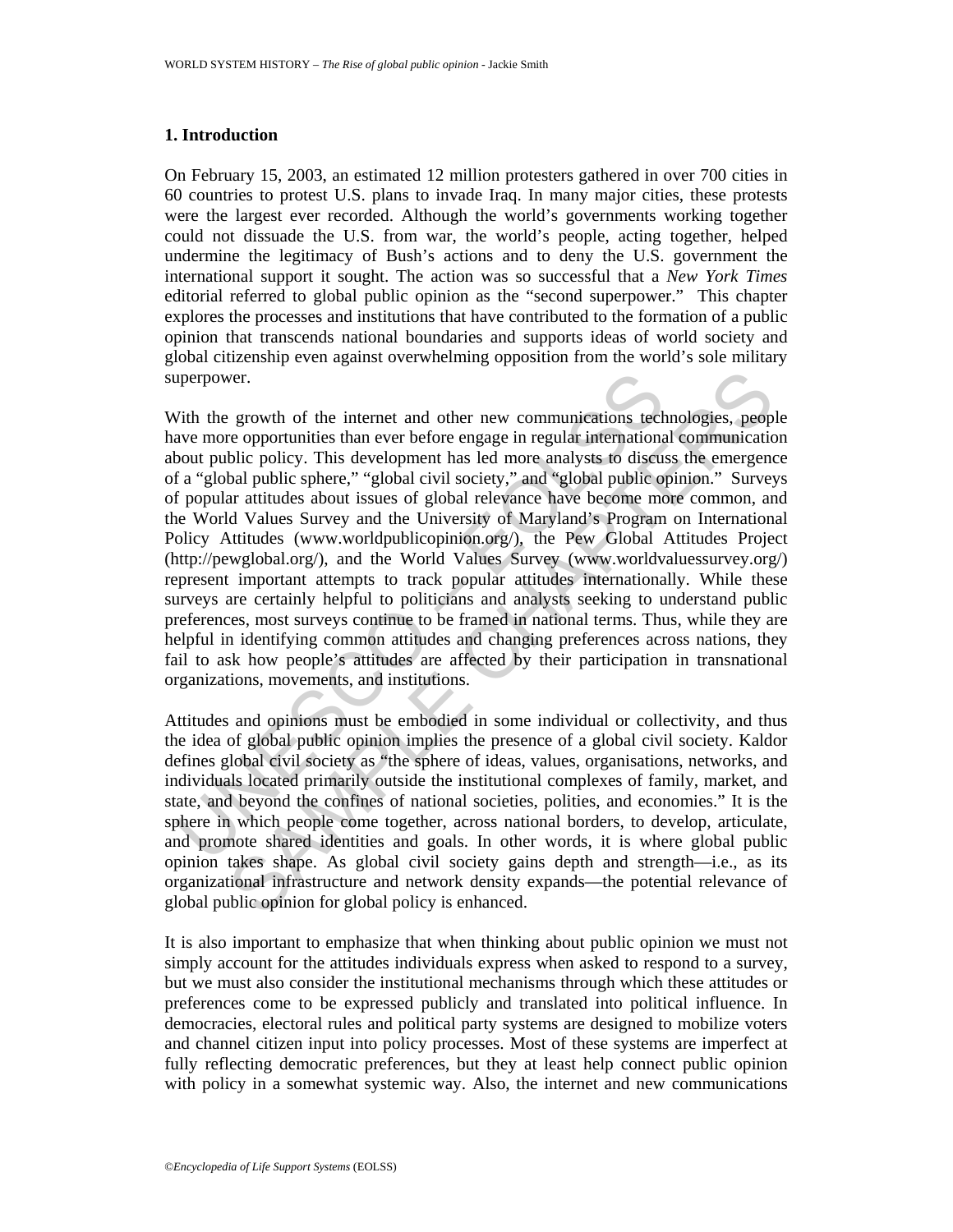### **1. Introduction**

On February 15, 2003, an estimated 12 million protesters gathered in over 700 cities in 60 countries to protest U.S. plans to invade Iraq. In many major cities, these protests were the largest ever recorded. Although the world's governments working together could not dissuade the U.S. from war, the world's people, acting together, helped undermine the legitimacy of Bush's actions and to deny the U.S. government the international support it sought. The action was so successful that a *New York Times* editorial referred to global public opinion as the "second superpower." This chapter explores the processes and institutions that have contributed to the formation of a public opinion that transcends national boundaries and supports ideas of world society and global citizenship even against overwhelming opposition from the world's sole military superpower.

perpower.<br>
Yith the growth of the internet and other new communications tech<br>
ave more opportunities than ever before engage in regular internations<br>
oout public policy. This development has led more analysts to discus<br>
a ver.<br>
erowth of the internet and other new communications technologics, people<br>
reio epoprotunities than ever before engage in regular international communicatio<br>
bile policy. This development has lel onore analysts to dis With the growth of the internet and other new communications technologies, people have more opportunities than ever before engage in regular international communication about public policy. This development has led more analysts to discuss the emergence of a "global public sphere," "global civil society," and "global public opinion." Surveys of popular attitudes about issues of global relevance have become more common, and the World Values Survey and the University of Maryland's Program on International Policy Attitudes (www.worldpublicopinion.org/), the Pew Global Attitudes Project (http://pewglobal.org/), and the World Values Survey (www.worldvaluessurvey.org/) represent important attempts to track popular attitudes internationally. While these surveys are certainly helpful to politicians and analysts seeking to understand public preferences, most surveys continue to be framed in national terms. Thus, while they are helpful in identifying common attitudes and changing preferences across nations, they fail to ask how people's attitudes are affected by their participation in transnational organizations, movements, and institutions.

Attitudes and opinions must be embodied in some individual or collectivity, and thus the idea of global public opinion implies the presence of a global civil society. Kaldor defines global civil society as "the sphere of ideas, values, organisations, networks, and individuals located primarily outside the institutional complexes of family, market, and state, and beyond the confines of national societies, polities, and economies." It is the sphere in which people come together, across national borders, to develop, articulate, and promote shared identities and goals. In other words, it is where global public opinion takes shape. As global civil society gains depth and strength—i.e., as its organizational infrastructure and network density expands—the potential relevance of global public opinion for global policy is enhanced.

It is also important to emphasize that when thinking about public opinion we must not simply account for the attitudes individuals express when asked to respond to a survey, but we must also consider the institutional mechanisms through which these attitudes or preferences come to be expressed publicly and translated into political influence. In democracies, electoral rules and political party systems are designed to mobilize voters and channel citizen input into policy processes. Most of these systems are imperfect at fully reflecting democratic preferences, but they at least help connect public opinion with policy in a somewhat systemic way. Also, the internet and new communications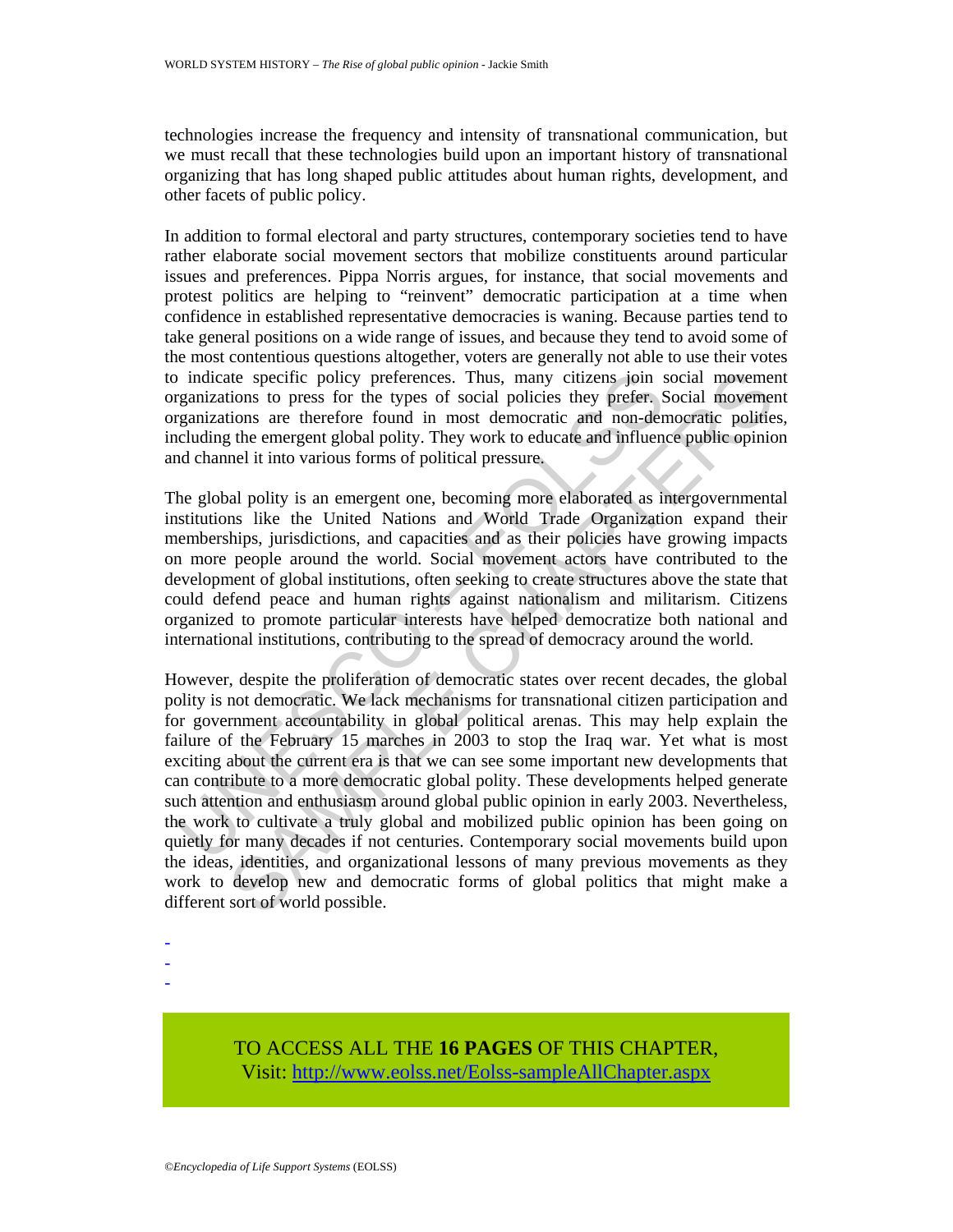technologies increase the frequency and intensity of transnational communication, but we must recall that these technologies build upon an important history of transnational organizing that has long shaped public attitudes about human rights, development, and other facets of public policy.

In addition to formal electoral and party structures, contemporary societies tend to have rather elaborate social movement sectors that mobilize constituents around particular issues and preferences. Pippa Norris argues, for instance, that social movements and protest politics are helping to "reinvent" democratic participation at a time when confidence in established representative democracies is waning. Because parties tend to take general positions on a wide range of issues, and because they tend to avoid some of the most contentious questions altogether, voters are generally not able to use their votes to indicate specific policy preferences. Thus, many citizens join social movement organizations to press for the types of social policies they prefer. Social movement organizations are therefore found in most democratic and non-democratic polities, including the emergent global polity. They work to educate and influence public opinion and channel it into various forms of political pressure.

The global polity is an emergent one, becoming more elaborated as intergovernmental institutions like the United Nations and World Trade Organization expand their memberships, jurisdictions, and capacities and as their policies have growing impacts on more people around the world. Social movement actors have contributed to the development of global institutions, often seeking to create structures above the state that could defend peace and human rights against nationalism and militarism. Citizens organized to promote particular interests have helped democratize both national and international institutions, contributing to the spread of democracy around the world.

is indicate specific policy preferences. Thus, many citizens join s<br>granizations to press for the types of social policies they prefer. S<br>granizations are therefore found in most democratic and non-democratic<br>cluding the e ate specific policy preferences. Thus, many citizens join social movement<br>ions to press for the types of social policies thy prefer. Social movement<br>ions are therefore found in most democratic and non-democratic politic<br>th However, despite the proliferation of democratic states over recent decades, the global polity is not democratic. We lack mechanisms for transnational citizen participation and for government accountability in global political arenas. This may help explain the failure of the February 15 marches in 2003 to stop the Iraq war. Yet what is most exciting about the current era is that we can see some important new developments that can contribute to a more democratic global polity. These developments helped generate such attention and enthusiasm around global public opinion in early 2003. Nevertheless, the work to cultivate a truly global and mobilized public opinion has been going on quietly for many decades if not centuries. Contemporary social movements build upon the ideas, identities, and organizational lessons of many previous movements as they work to develop new and democratic forms of global politics that might make a different sort of world possible.

-

-

-

# TO ACCESS ALL THE **16 PAGES** OF THIS CHAPTER, Visit[: http://www.eolss.net/Eolss-sampleAllChapter.aspx](https://www.eolss.net/ebooklib/sc_cart.aspx?File=E6-94-20)